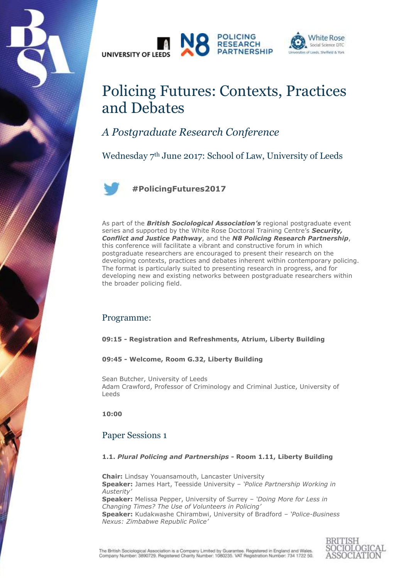





# Policing Futures: Contexts, Practices and Debates

# *A Postgraduate Research Conference*

Wednesday 7th June 2017: School of Law, University of Leeds



**#PolicingFutures2017**

As part of the *British Sociological Association's* regional postgraduate event series and supported by the White Rose Doctoral Training Centre's *Security, Conflict and Justice Pathway*, and the *N8 Policing Research Partnership*, this conference will facilitate a vibrant and constructive forum in which postgraduate researchers are encouraged to present their research on the developing contexts, practices and debates inherent within contemporary policing. The format is particularly suited to presenting research in progress, and for developing new and existing networks between postgraduate researchers within the broader policing field.

# Programme:

**09:15 - Registration and Refreshments, Atrium, Liberty Building**

**09:45 - Welcome, Room G.32, Liberty Building**

Sean Butcher, University of Leeds Adam Crawford, Professor of Criminology and Criminal Justice, University of Leeds

**10:00**

# Paper Sessions 1

#### **1.1.** *Plural Policing and Partnerships* **- Room 1.11, Liberty Building**

**Chair:** Lindsay Youansamouth, Lancaster University **Speaker:** James Hart, Teesside University – *'Police Partnership Working in Austerity'* **Speaker:** Melissa Pepper, University of Surrey – *'Doing More for Less in Changing Times? The Use of Volunteers in Policing'* **Speaker:** Kudakwashe Chirambwi, University of Bradford – *'Police-Business Nexus: Zimbabwe Republic Police'*

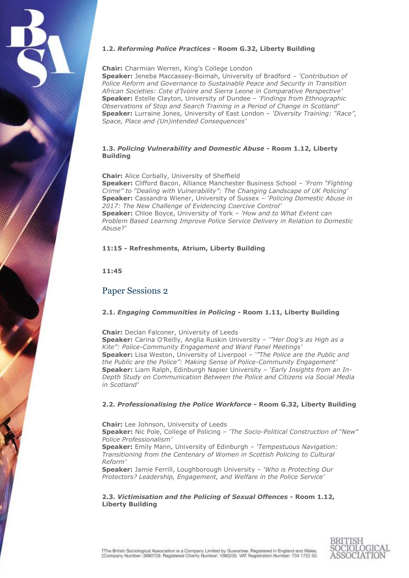

#### **1.2.** *Reforming Police Practices* **- Room G.32, Liberty Building**

#### **Chair:** Charmian Werren, King's College London

**Speaker:** Jeneba Maccassey-Boimah, University of Bradford – *'Contribution of Police Reform and Governance to Sustainable Peace and Security in Transition African Societies: Cote d'Ivoire and Sierra Leone in Comparative Perspective'* **Speaker:** Estelle Clayton, University of Dundee – *'Findings from Ethnographic Observations of Stop and Search Training in a Period of Change in Scotland'* **Speaker:** Lurraine Jones, University of East London – *'Diversity Training: "Race", Space, Place and (Un)intended Consequences'*

#### **1.3.** *Policing Vulnerability and Domestic Abuse* **- Room 1.12, Liberty Building**

**Chair:** Alice Corbally, University of Sheffield

**Speaker:** Clifford Bacon, Alliance Manchester Business School – *'From "Fighting Crime" to "Dealing with Vulnerability": The Changing Landscape of UK Policing'* **Speaker:** Cassandra Wiener, University of Sussex – *'Policing Domestic Abuse in 2017: The New Challenge of Evidencing Coercive Control'*

**Speaker:** Chloe Boyce, University of York – *'How and to What Extent can Problem Based Learning Improve Police Service Delivery in Relation to Domestic Abuse?'*

#### **11:15 - Refreshments, Atrium, Liberty Building**

**11:45**

### Paper Sessions 2

#### **2.1.** *Engaging Communities in Policing* **- Room 1.11, Liberty Building**

**Chair:** Declan Falconer, University of Leeds

**Speaker:** Carina O'Reilly, Anglia Ruskin University – *'"Her Dog's as High as a Kite": Police-Community Engagement and Ward Panel Meetings'* **Speaker:** Lisa Weston, University of Liverpool – *'"The Police are the Public and the Public are the Police": Making Sense of Police-Community Engagement'* **Speaker:** Liam Ralph, Edinburgh Napier University – *'Early Insights from an In-Depth Study on Communication Between the Police and Citizens via Social Media in Scotland'*

#### **2.2.** *Professionalising the Police Workforce* **- Room G.32, Liberty Building**

**Chair:** Lee Johnson, University of Leeds

**Speaker:** Nic Pole, College of Policing – *'The Socio-Political Construction of "New" Police Professionalism'*

**Speaker:** Emily Mann, University of Edinburgh – *'Tempestuous Navigation: Transitioning from the Centenary of Women in Scottish Policing to Cultural Reform'*

**Speaker:** Jamie Ferrill, Loughborough University – *'Who is Protecting Our Protectors? Leadership, Engagement, and Welfare in the Police Service'*

#### **2.3.** *Victimisation and the Policing of Sexual Offences* **- Room 1.12, Liberty Building**